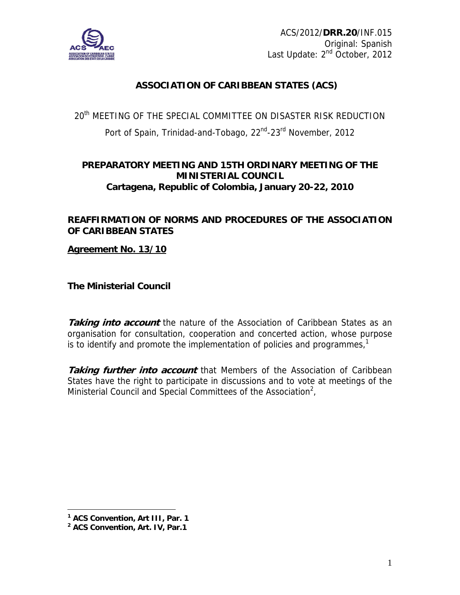

# **ASSOCIATION OF CARIBBEAN STATES (ACS)**

20<sup>th</sup> MEETING OF THE SPECIAL COMMITTEE ON DISASTER RISK REDUCTION Port of Spain, Trinidad-and-Tobago, 22<sup>nd</sup>-23<sup>rd</sup> November, 2012

# **PREPARATORY MEETING AND 15TH ORDINARY MEETING OF THE MINISTERIAL COUNCIL Cartagena, Republic of Colombia, January 20-22, 2010**

## **REAFFIRMATION OF NORMS AND PROCEDURES OF THE ASSOCIATION OF CARIBBEAN STATES**

### **Agreement No. 13/10**

**The Ministerial Council** 

**Taking into account** the nature of the Association of Caribbean States as an organisation for consultation, cooperation and concerted action, whose purpose is to identify and promote the implementation of policies and programmes, $<sup>1</sup>$ </sup>

**Taking further into account** that Members of the Association of Caribbean States have the right to participate in discussions and to vote at meetings of the Ministerial Council and Special Committees of the Association<sup>2</sup>,

1

**<sup>1</sup> ACS Convention, Art III, Par. 1** 

**<sup>2</sup> ACS Convention, Art. IV, Par.1**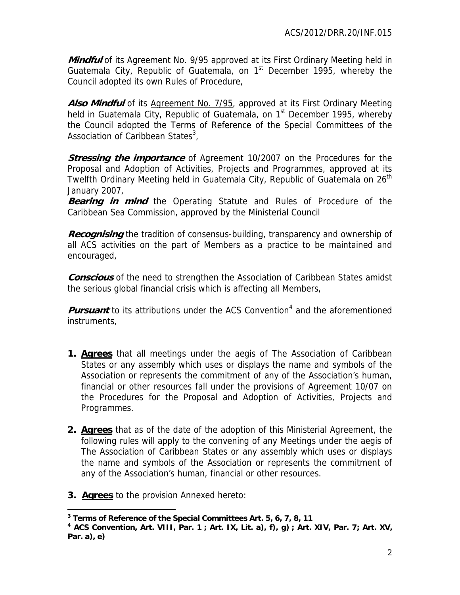Mindful of its Agreement No. 9/95 approved at its First Ordinary Meeting held in Guatemala City, Republic of Guatemala, on  $1<sup>st</sup>$  December 1995, whereby the Council adopted its own Rules of Procedure,

**Also Mindful** of its Agreement No. 7/95, approved at its First Ordinary Meeting held in Guatemala City, Republic of Guatemala, on 1<sup>st</sup> December 1995, whereby the Council adopted the Terms of Reference of the Special Committees of the Association of Caribbean States<sup>3</sup>,

**Stressing the importance** of Agreement 10/2007 on the Procedures for the Proposal and Adoption of Activities, Projects and Programmes, approved at its Twelfth Ordinary Meeting held in Guatemala City, Republic of Guatemala on 26<sup>th</sup> January 2007,

**Bearing in mind** the Operating Statute and Rules of Procedure of the Caribbean Sea Commission, approved by the Ministerial Council

**Recognising** the tradition of consensus-building, transparency and ownership of all ACS activities on the part of Members as a practice to be maintained and encouraged,

**Conscious** of the need to strengthen the Association of Caribbean States amidst the serious global financial crisis which is affecting all Members,

Pursuant to its attributions under the ACS Convention<sup>4</sup> and the aforementioned instruments,

- **1. Agrees** that all meetings under the aegis of The Association of Caribbean States or any assembly which uses or displays the name and symbols of the Association or represents the commitment of any of the Association's human, financial or other resources fall under the provisions of Agreement 10/07 on the Procedures for the Proposal and Adoption of Activities, Projects and Programmes.
- **2. Agrees** that as of the date of the adoption of this Ministerial Agreement, the following rules will apply to the convening of any Meetings under the aegis of The Association of Caribbean States or any assembly which uses or displays the name and symbols of the Association or represents the commitment of any of the Association's human, financial or other resources.
- **3. Agrees** to the provision Annexed hereto:

 $\overline{a}$ 

**<sup>3</sup> Terms of Reference of the Special Committees Art. 5, 6, 7, 8, 11**

**<sup>4</sup> ACS Convention, Art. VIII, Par. 1 ; Art. IX, Lit. a), f), g) ; Art. XIV, Par. 7; Art. XV, Par. a), e)**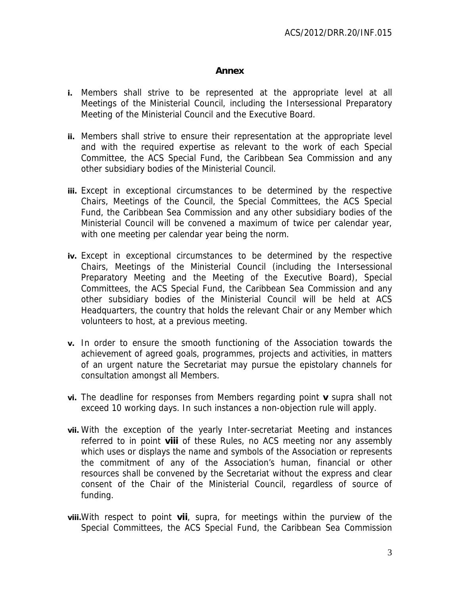#### **Annex**

- **i.** Members shall strive to be represented at the appropriate level at all Meetings of the Ministerial Council, including the Intersessional Preparatory Meeting of the Ministerial Council and the Executive Board.
- **ii.** Members shall strive to ensure their representation at the appropriate level and with the required expertise as relevant to the work of each Special Committee, the ACS Special Fund, the Caribbean Sea Commission and any other subsidiary bodies of the Ministerial Council.
- **iii.** Except in exceptional circumstances to be determined by the respective Chairs, Meetings of the Council, the Special Committees, the ACS Special Fund, the Caribbean Sea Commission and any other subsidiary bodies of the Ministerial Council will be convened a maximum of twice per calendar year, with one meeting per calendar year being the norm.
- **iv.** Except in exceptional circumstances to be determined by the respective Chairs, Meetings of the Ministerial Council (including the Intersessional Preparatory Meeting and the Meeting of the Executive Board), Special Committees, the ACS Special Fund, the Caribbean Sea Commission and any other subsidiary bodies of the Ministerial Council will be held at ACS Headquarters, the country that holds the relevant Chair or any Member which volunteers to host, at a previous meeting.
- **v.** In order to ensure the smooth functioning of the Association towards the achievement of agreed goals, programmes, projects and activities, in matters of an urgent nature the Secretariat may pursue the epistolary channels for consultation amongst all Members.
- **vi.** The deadline for responses from Members regarding point **v** supra shall not exceed 10 working days. In such instances a non-objection rule will apply.
- **vii.** With the exception of the yearly Inter-secretariat Meeting and instances referred to in point **viii** of these Rules, no ACS meeting nor any assembly which uses or displays the name and symbols of the Association or represents the commitment of any of the Association's human, financial or other resources shall be convened by the Secretariat without the express and clear consent of the Chair of the Ministerial Council, regardless of source of funding.
- **viii.**With respect to point **vii**, supra, for meetings within the purview of the Special Committees, the ACS Special Fund, the Caribbean Sea Commission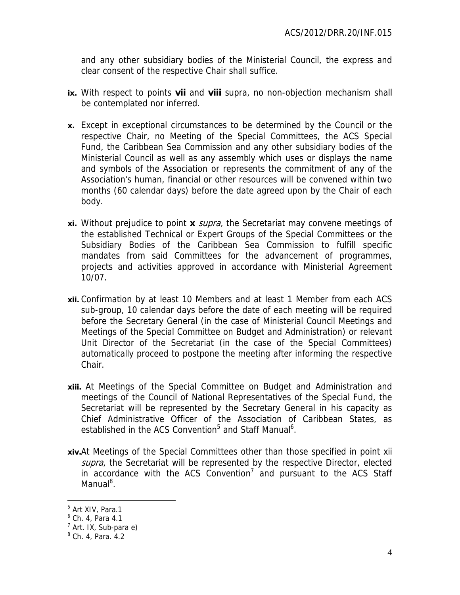and any other subsidiary bodies of the Ministerial Council, the express and clear consent of the respective Chair shall suffice.

- **ix.** With respect to points **vii** and **viii** supra, no non-objection mechanism shall be contemplated nor inferred.
- **x.** Except in exceptional circumstances to be determined by the Council or the respective Chair, no Meeting of the Special Committees, the ACS Special Fund, the Caribbean Sea Commission and any other subsidiary bodies of the Ministerial Council as well as any assembly which uses or displays the name and symbols of the Association or represents the commitment of any of the Association's human, financial or other resources will be convened within two months (60 calendar days) before the date agreed upon by the Chair of each body.
- **xi.** Without prejudice to point **x** supra, the Secretariat may convene meetings of the established Technical or Expert Groups of the Special Committees or the Subsidiary Bodies of the Caribbean Sea Commission to fulfill specific mandates from said Committees for the advancement of programmes, projects and activities approved in accordance with Ministerial Agreement 10/07.
- **xii.** Confirmation by at least 10 Members and at least 1 Member from each ACS sub-group, 10 calendar days before the date of each meeting will be required before the Secretary General (in the case of Ministerial Council Meetings and Meetings of the Special Committee on Budget and Administration) or relevant Unit Director of the Secretariat (in the case of the Special Committees) automatically proceed to postpone the meeting after informing the respective Chair.
- **xiii.** At Meetings of the Special Committee on Budget and Administration and meetings of the Council of National Representatives of the Special Fund, the Secretariat will be represented by the Secretary General in his capacity as Chief Administrative Officer of the Association of Caribbean States, as established in the ACS Convention<sup>5</sup> and Staff Manual<sup>6</sup>.
- **xiv.**At Meetings of the Special Committees other than those specified in point xii supra, the Secretariat will be represented by the respective Director, elected in accordance with the ACS Convention<sup>7</sup> and pursuant to the ACS Staff Manual<sup>8</sup>.

 $\overline{a}$ 

<sup>&</sup>lt;sup>5</sup> Art XIV, Para.1

<sup>6</sup> Ch. 4, Para 4.1

<sup>&</sup>lt;sup>7</sup> Art. IX, Sub-para e)

<sup>&</sup>lt;sup>8</sup> Ch. 4, Para. 4.2